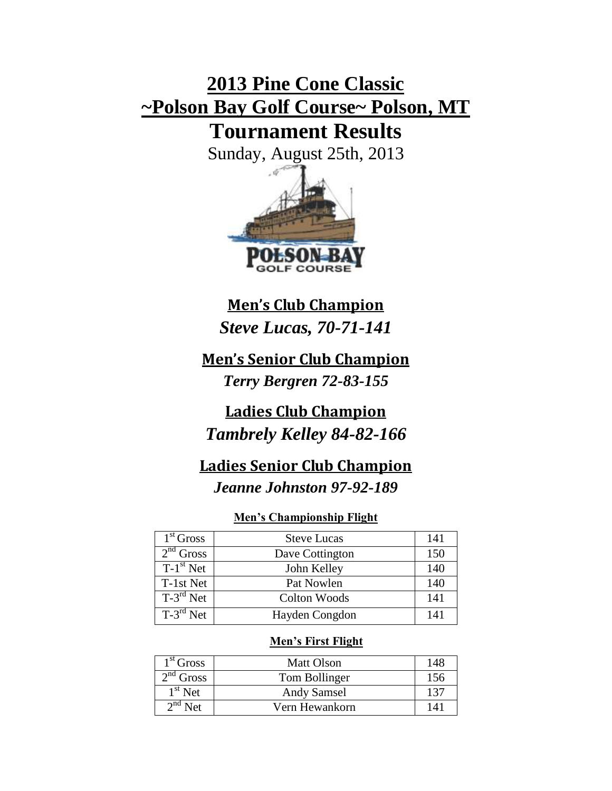# **2013 Pine Cone Classic ~Polson Bay Golf Course~ Polson, MT Tournament Results**

Sunday, August 25th, 2013



## **Men's Club Champion**

*Steve Lucas, 70-71-141*

**Men's Senior Club Champion** *Terry Bergren 72-83-155*

## **Ladies Club Champion** *Tambrely Kelley 84-82-166*

## **Ladies Senior Club Champion**

*Jeanne Johnston 97-92-189*

### **Men's Championship Flight**

| 1 <sup>st</sup> Gross | <b>Steve Lucas</b>  | 141 |
|-----------------------|---------------------|-----|
| $2nd$ Gross           | Dave Cottington     | 150 |
| $T-1st$ Net           | John Kelley         | 140 |
| T-1st Net             | Pat Nowlen          | 140 |
| $T-3^{rd}$ Net        | <b>Colton Woods</b> | 141 |
| $T-3^{rd}$ Net        | Hayden Congdon      | 141 |

### **Men's First Flight**

| $1st$ Gross  | <b>Matt Olson</b>  | 148 |
|--------------|--------------------|-----|
| $2nd$ Gross  | Tom Bollinger      | 156 |
| $1st$ Net    | <b>Andy Samsel</b> | 137 |
| $2^{nd}$ Net | Vern Hewankorn     | 141 |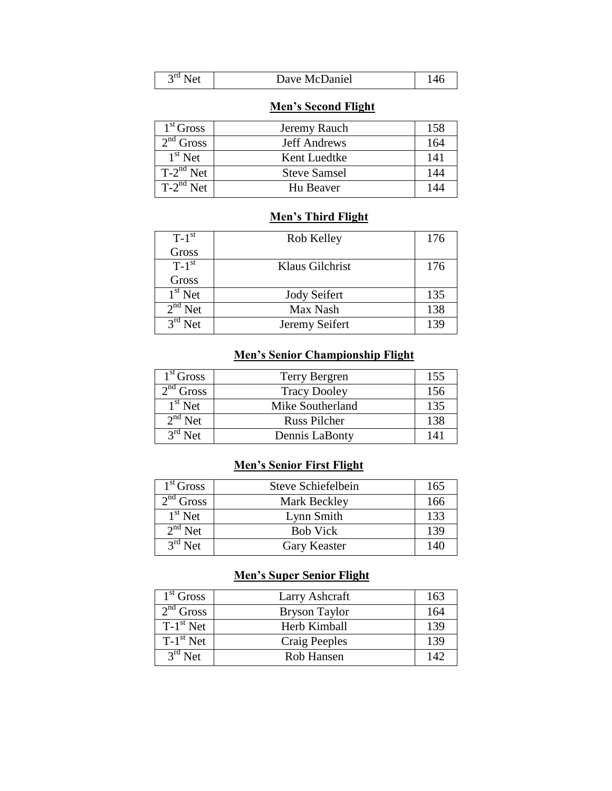| $\gamma$ ra<br>Dave McDaniel<br>Net | 44.07 |
|-------------------------------------|-------|
|-------------------------------------|-------|

## **Men's Second Flight**

| $1st$ Gross    | Jeremy Rauch        | 158 |
|----------------|---------------------|-----|
| $2nd$ Gross    | <b>Jeff Andrews</b> | 164 |
| $1st$ Net      | Kent Luedtke        | 141 |
| $T-2^{nd}$ Net | <b>Steve Samsel</b> | 144 |
| $T-2^{nd}$ Net | Hu Beaver           | 144 |

#### **Men's Third Flight**

| $T-1$ <sup>st</sup> | Rob Kelley          | 176 |
|---------------------|---------------------|-----|
| Gross               |                     |     |
| $T-1$ <sup>st</sup> | Klaus Gilchrist     | 176 |
| Gross               |                     |     |
| $1st$ Net           | <b>Jody Seifert</b> | 135 |
| $2nd$ Net           | Max Nash            | 138 |
| $3rd$ Net           | Jeremy Seifert      | 139 |

## **Men's Senior Championship Flight**

| $1st$ Gross         | <b>Terry Bergren</b> | 155 |
|---------------------|----------------------|-----|
| $2nd$ Gross         | <b>Tracy Dooley</b>  | 156 |
| $1st$ Net           | Mike Southerland     | 135 |
| $2^{\text{nd}}$ Net | <b>Russ Pilcher</b>  | 138 |
| $3^{rd}$ Net        | Dennis LaBonty       | 141 |

#### **Men's Senior First Flight**

| 1 <sup>st</sup> Gross | Steve Schiefelbein | 165 |
|-----------------------|--------------------|-----|
| $2nd$ Gross           | Mark Beckley       | 166 |
| $1st$ Net             | Lynn Smith         | 133 |
| $2nd$ Net             | <b>Bob Vick</b>    | 139 |
| $3rd$ Net             | Gary Keaster       | 140 |

## **Men's Super Senior Flight**

| $1st$ Gross | Larry Ashcraft       | 163 |
|-------------|----------------------|-----|
| $2nd$ Gross | <b>Bryson Taylor</b> | 164 |
| $T-1st$ Net | Herb Kimball         | 139 |
| $T-1st$ Net | Craig Peeples        | 139 |
| $3rd$ Net   | Rob Hansen           | 142 |